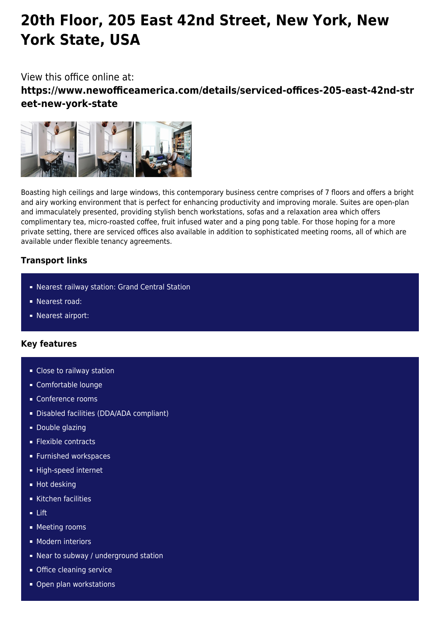# **20th Floor, 205 East 42nd Street, New York, New York State, USA**

## View this office online at:

**https://www.newofficeamerica.com/details/serviced-offices-205-east-42nd-str eet-new-york-state**



Boasting high ceilings and large windows, this contemporary business centre comprises of 7 floors and offers a bright and airy working environment that is perfect for enhancing productivity and improving morale. Suites are open-plan and immaculately presented, providing stylish bench workstations, sofas and a relaxation area which offers complimentary tea, micro-roasted coffee, fruit infused water and a ping pong table. For those hoping for a more private setting, there are serviced offices also available in addition to sophisticated meeting rooms, all of which are available under flexible tenancy agreements.

### **Transport links**

- Nearest railway station: Grand Central Station
- Nearest road:
- **Nearest airport:**

## **Key features**

- **Close to railway station**
- Comfortable lounge
- Conference rooms
- Disabled facilities (DDA/ADA compliant)
- **Double glazing**
- **Flexible contracts**
- **Furnished workspaces**
- High-speed internet
- **Hot desking**
- Kitchen facilities
- Lift
- **Meeting rooms**
- **Modern interiors**
- Near to subway / underground station
- **Office cleaning service**
- Open plan workstations